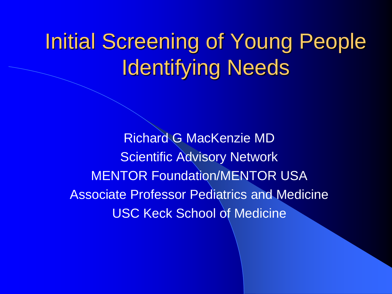### Initial Screening of Young People Identifying Needs

Richard G MacKenzie MD Scientific Advisory Network **MENTOR Foundation/MENTOR USA Associate Professor Pediatrics and Medicine** USC Keck School of Medicine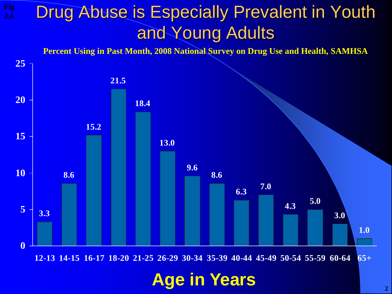#### Drug Abuse is Especially Prevalent in Youth and Young Adults **Fig 2.4**

**Percent Using in Past Month, 2008 National Survey on Drug Use and Health, SAMHSA**

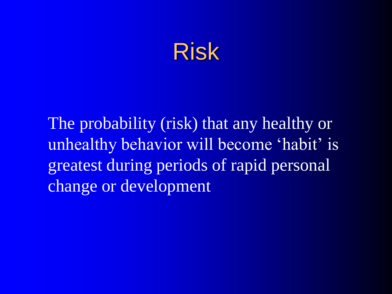

The probability (risk) that any healthy or unhealthy behavior will become 'habit' is greatest during periods of rapid personal change or development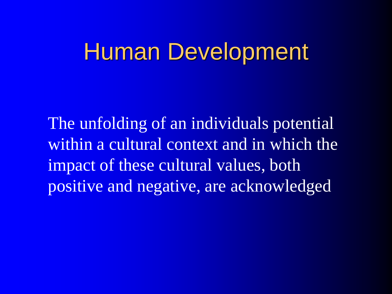### Human Development

The unfolding of an individuals potential within a cultural context and in which the impact of these cultural values, both positive and negative, are acknowledged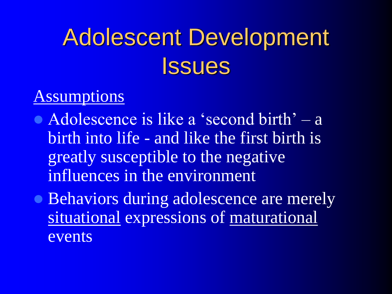### Assumptions

- Adolescence is like a 'second birth' a birth into life - and like the first birth is greatly susceptible to the negative influences in the environment
- Behaviors during adolescence are merely situational expressions of maturational events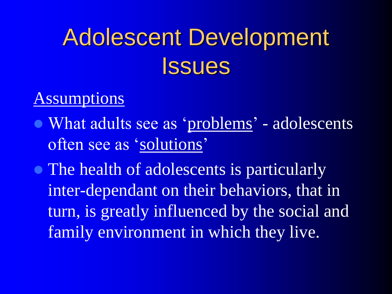#### **Assumptions**

- What adults see as 'problems' adolescents often see as 'solutions'
- The health of adolescents is particularly inter-dependant on their behaviors, that in turn, is greatly influenced by the social and family environment in which they live.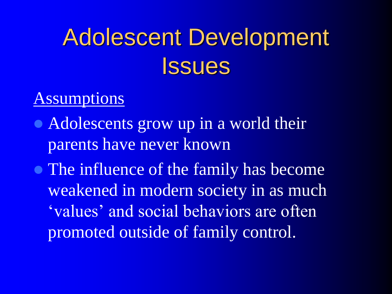#### **Assumptions**

- Adolescents grow up in a world their parents have never known
- The influence of the family has become weakened in modern society in as much 'values' and social behaviors are often promoted outside of family control.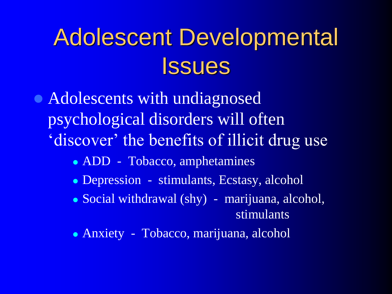• Adolescents with undiagnosed psychological disorders will often 'discover' the benefits of illicit drug use

- ADD Tobacco, amphetamines
- Depression stimulants, Ecstasy, alcohol
- Social withdrawal (shy) marijuana, alcohol, stimulants
- Anxiety Tobacco, marijuana, alcohol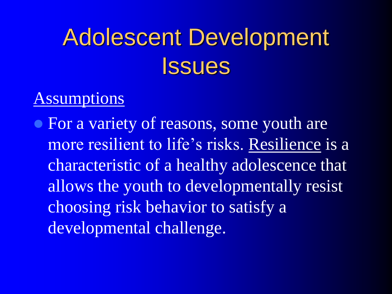#### **Assumptions**

• For a variety of reasons, some youth are more resilient to life's risks. Resilience is a characteristic of a healthy adolescence that allows the youth to developmentally resist choosing risk behavior to satisfy a developmental challenge.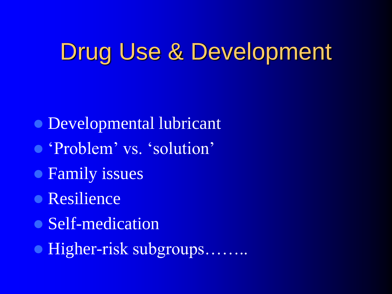### Drug Use & Development

- Developmental lubricant
- 'Problem' vs. 'solution'
- **Family issues**
- **Resilience**
- Self-medication
- Higher-risk subgroups.........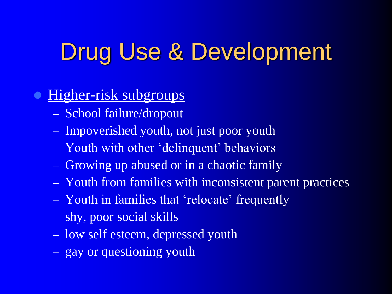## Drug Use & Development

#### Higher-risk subgroups

- School failure/dropout
- Impoverished youth, not just poor youth
- Youth with other 'delinquent' behaviors
- Growing up abused or in a chaotic family
- Youth from families with inconsistent parent practices
- Youth in families that 'relocate' frequently
- shy, poor social skills
- low self esteem, depressed youth
- gay or questioning youth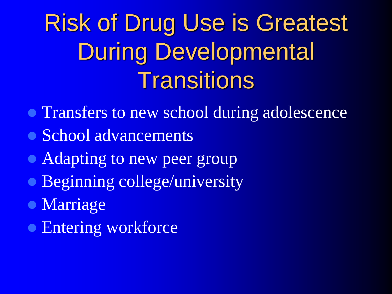# Risk of Drug Use is Greatest During Developmental **Transitions**

- Transfers to new school during adolescence
- School advancements
- Adapting to new peer group
- **Beginning college/university**
- **Marriage**
- **Entering workforce**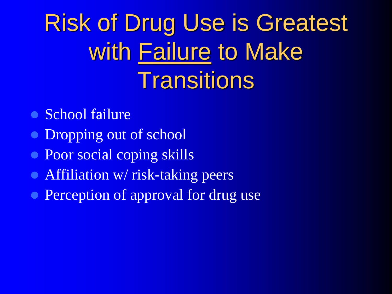# Risk of Drug Use is Greatest with Failure to Make **Transitions**

- School failure
- Dropping out of school
- Poor social coping skills
- Affiliation w/ risk-taking peers
- Perception of approval for drug use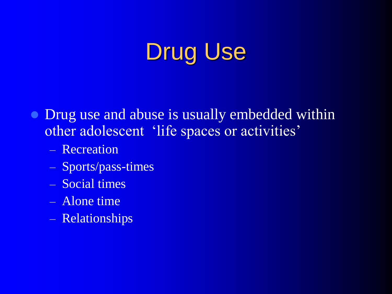### Drug Use

- Drug use and abuse is usually embedded within other adolescent 'life spaces or activities'
	- Recreation
	- Sports/pass-times
	- Social times
	- Alone time
	- Relationships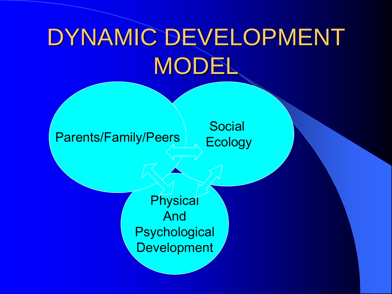# DYNAMIC DEVELOPMENT MODEL

#### Parents/Family/Peers Ecology

**Social** 

**Physical** And **Psychological Development**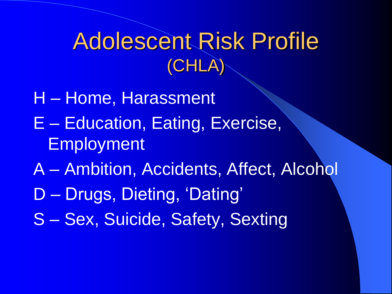### Adolescent Risk Profile (CHLA)

- H Home, Harassment
- E Education, Eating, Exercise, Employment
- A Ambition, Accidents, Affect, Alcohol
- D Drugs, Dieting, 'Dating'
- S Sex, Suicide, Safety, Sexting